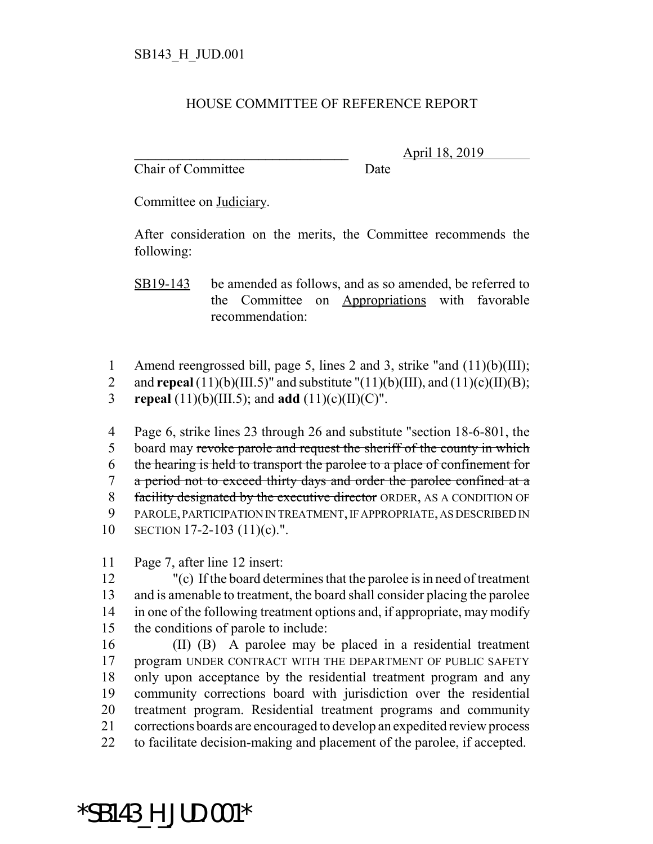## HOUSE COMMITTEE OF REFERENCE REPORT

Chair of Committee Date

\_\_\_\_\_\_\_\_\_\_\_\_\_\_\_\_\_\_\_\_\_\_\_\_\_\_\_\_\_\_\_ April 18, 2019

Committee on Judiciary.

After consideration on the merits, the Committee recommends the following:

SB19-143 be amended as follows, and as so amended, be referred to the Committee on Appropriations with favorable recommendation:

1 Amend reengrossed bill, page 5, lines 2 and 3, strike "and (11)(b)(III);

- 2 and **repeal**  $(11)(b)(III.5)$ " and substitute " $(11)(b)(III)$ , and  $(11)(c)(II)(B)$ ;
- 3 **repeal** (11)(b)(III.5); and **add** (11)(c)(II)(C)".

 Page 6, strike lines 23 through 26 and substitute "section 18-6-801, the 5 board may revoke parole and request the sheriff of the county in which the hearing is held to transport the parolee to a place of confinement for a period not to exceed thirty days and order the parolee confined at a 8 facility designated by the executive director ORDER, AS A CONDITION OF PAROLE, PARTICIPATION IN TREATMENT, IF APPROPRIATE, AS DESCRIBED IN SECTION 17-2-103 (11)(c).".

11 Page 7, after line 12 insert:

\*SB143\_H\_JUD.001\*

 "(c) If the board determines that the parolee is in need of treatment and is amenable to treatment, the board shall consider placing the parolee in one of the following treatment options and, if appropriate, may modify the conditions of parole to include:

 (II) (B) A parolee may be placed in a residential treatment 17 program UNDER CONTRACT WITH THE DEPARTMENT OF PUBLIC SAFETY only upon acceptance by the residential treatment program and any community corrections board with jurisdiction over the residential treatment program. Residential treatment programs and community corrections boards are encouraged to develop an expedited review process to facilitate decision-making and placement of the parolee, if accepted.